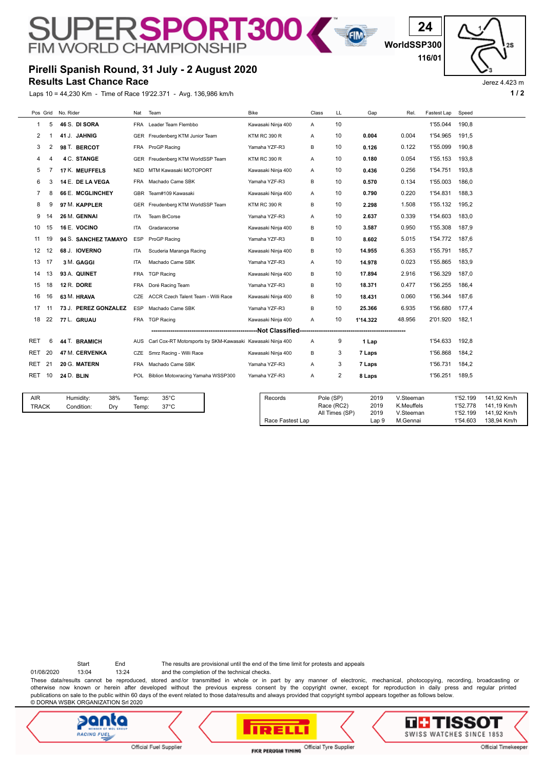## **Pirelli Spanish Round, 31 July - 2 August 2020**

SUPERSPORT300

**Results Last Chance Race**

Laps 10 = 44,230 Km - Time of Race 19'22.371 - Avg. 136,986 km/h **1 a** a set of the set of the set of the set of the set of the set of the set of the set of the set of the set of the set of the set of the set of the set of

**WorldSSP300**

E

**24**

**116/01**

Jerez 4.423 m

| No. Rider<br>Bike<br>Pos Grid<br>Nat<br>Team<br>Class<br>LL<br>Gap<br>Rel.<br>Fastest Lap<br>Speed<br>5<br>10<br>1'55.044<br>190,8<br>46 S. DI SORA<br>Leader Team Flembbo<br><b>FRA</b><br>Kawasaki Ninja 400<br>1<br>Α<br>41 J. JAHNIG<br>Freudenberg KTM Junior Team<br>10<br>0.004<br>1'54.965<br>191,5<br>2<br>GER<br><b>KTM RC 390 R</b><br>0.004<br>-1<br>A<br>1'55.099<br>190.8<br>3<br>2<br>98 T. BERCOT<br>10<br>0.122<br>ProGP Racing<br>Yamaha YZF-R3<br>B<br>0.126<br><b>FRA</b><br>193,8<br><b>4 C. STANGE</b><br>0.054<br>1'55.153<br>Freudenberg KTM WorldSSP Team<br><b>KTM RC 390 R</b><br>10<br>4<br>GER<br>Α<br>0.180<br>17 K. MEUFFELS<br>1'54.751<br>193,8<br>5<br>MTM Kawasaki MOTOPORT<br>10<br>0.436<br>0.256<br>Kawasaki Ninja 400<br><b>NED</b><br>A<br>1'55.003<br>186,0<br>14 E. DE LA VEGA<br>10<br>0.134<br>6<br>3<br>Machado Came SBK<br>Yamaha YZF-R3<br>В<br>0.570<br><b>FRA</b><br>66 E. MCGLINCHEY<br>0.220<br>1'54.831<br>188.3<br>7<br>8<br>Team#109 Kawasaki<br>Kawasaki Ninja 400<br>10<br>0.790<br><b>GBR</b><br>A |                            |
|-------------------------------------------------------------------------------------------------------------------------------------------------------------------------------------------------------------------------------------------------------------------------------------------------------------------------------------------------------------------------------------------------------------------------------------------------------------------------------------------------------------------------------------------------------------------------------------------------------------------------------------------------------------------------------------------------------------------------------------------------------------------------------------------------------------------------------------------------------------------------------------------------------------------------------------------------------------------------------------------------------------------------------------------------------------|----------------------------|
|                                                                                                                                                                                                                                                                                                                                                                                                                                                                                                                                                                                                                                                                                                                                                                                                                                                                                                                                                                                                                                                             |                            |
|                                                                                                                                                                                                                                                                                                                                                                                                                                                                                                                                                                                                                                                                                                                                                                                                                                                                                                                                                                                                                                                             |                            |
|                                                                                                                                                                                                                                                                                                                                                                                                                                                                                                                                                                                                                                                                                                                                                                                                                                                                                                                                                                                                                                                             |                            |
|                                                                                                                                                                                                                                                                                                                                                                                                                                                                                                                                                                                                                                                                                                                                                                                                                                                                                                                                                                                                                                                             |                            |
|                                                                                                                                                                                                                                                                                                                                                                                                                                                                                                                                                                                                                                                                                                                                                                                                                                                                                                                                                                                                                                                             |                            |
|                                                                                                                                                                                                                                                                                                                                                                                                                                                                                                                                                                                                                                                                                                                                                                                                                                                                                                                                                                                                                                                             |                            |
|                                                                                                                                                                                                                                                                                                                                                                                                                                                                                                                                                                                                                                                                                                                                                                                                                                                                                                                                                                                                                                                             |                            |
|                                                                                                                                                                                                                                                                                                                                                                                                                                                                                                                                                                                                                                                                                                                                                                                                                                                                                                                                                                                                                                                             |                            |
| 1.508<br>1'55.132<br>195.2<br>8<br>97 M. KAPPLER<br>10<br>9<br><b>GER</b><br>Freudenberg KTM WorldSSP Team<br><b>KTM RC 390 R</b><br>В<br>2.298                                                                                                                                                                                                                                                                                                                                                                                                                                                                                                                                                                                                                                                                                                                                                                                                                                                                                                             |                            |
| 26 M. GENNAI<br>2.637<br>0.339<br>1'54.603<br>183.0<br>9<br>14<br><b>Team BrCorse</b><br>10<br><b>ITA</b><br>Yamaha YZF-R3<br>$\overline{A}$                                                                                                                                                                                                                                                                                                                                                                                                                                                                                                                                                                                                                                                                                                                                                                                                                                                                                                                |                            |
| 0.950<br>1'55.308<br>187.9<br>10<br>15<br>16 E. VOCINO<br>10<br><b>ITA</b><br>Gradaracorse<br>Kawasaki Ninja 400<br>В<br>3.587                                                                                                                                                                                                                                                                                                                                                                                                                                                                                                                                                                                                                                                                                                                                                                                                                                                                                                                              |                            |
| <b>94 S. SANCHEZ TAMAYO</b><br>8.602<br>5.015<br>1'54.772<br>187.6<br>11<br>19<br><b>ESP</b><br>ProGP Racing<br>Yamaha YZF-R3<br>B<br>10                                                                                                                                                                                                                                                                                                                                                                                                                                                                                                                                                                                                                                                                                                                                                                                                                                                                                                                    |                            |
| 6.353<br>1'55.791<br>185.7<br>12<br>12<br>68 J. IOVERNO<br>10<br>Scuderia Maranga Racing<br>Kawasaki Ninja 400<br>B<br>14.955<br><b>ITA</b>                                                                                                                                                                                                                                                                                                                                                                                                                                                                                                                                                                                                                                                                                                                                                                                                                                                                                                                 |                            |
| 13<br>17<br>3 M. GAGGI<br>14.978<br>0.023<br>1'55.865<br>183,9<br>ITA<br>Machado Came SBK<br>Yamaha YZF-R3<br>10<br>A                                                                                                                                                                                                                                                                                                                                                                                                                                                                                                                                                                                                                                                                                                                                                                                                                                                                                                                                       |                            |
| 13<br>93 A. QUINET<br>2.916<br>1'56.329<br>187.0<br><b>TGP Racing</b><br>Kawasaki Ninja 400<br>10<br>17.894<br>14<br><b>FRA</b><br>B                                                                                                                                                                                                                                                                                                                                                                                                                                                                                                                                                                                                                                                                                                                                                                                                                                                                                                                        |                            |
| 186,4<br>15<br>18<br>12 R. DORE<br>10<br>18.371<br>0.477<br>1'56.255<br>FRA<br>Doré Racing Team<br>Yamaha YZF-R3<br>В                                                                                                                                                                                                                                                                                                                                                                                                                                                                                                                                                                                                                                                                                                                                                                                                                                                                                                                                       |                            |
| 10<br>0.060<br>1'56.344<br>187.6<br>16<br>16<br>63 M. HRAVA<br>ACCR Czech Talent Team - Willi Race<br>B<br>18.431<br>CZE<br>Kawasaki Ninja 400                                                                                                                                                                                                                                                                                                                                                                                                                                                                                                                                                                                                                                                                                                                                                                                                                                                                                                              |                            |
| Machado Came SBK<br>1'56.680<br>17<br>73 J. PEREZ GONZALEZ<br><b>ESP</b><br>Yamaha YZF-R3<br>B<br>10<br>25.366<br>6.935<br>177,4<br>11                                                                                                                                                                                                                                                                                                                                                                                                                                                                                                                                                                                                                                                                                                                                                                                                                                                                                                                      |                            |
| 2'01.920<br>182,1<br>18<br>22<br>77 L. GRUAU<br><b>TGP Racing</b><br>10<br>1'14.322<br>48.956<br>FRA<br>Kawasaki Ninja 400<br>A                                                                                                                                                                                                                                                                                                                                                                                                                                                                                                                                                                                                                                                                                                                                                                                                                                                                                                                             |                            |
| --------------------------------Not Classified-                                                                                                                                                                                                                                                                                                                                                                                                                                                                                                                                                                                                                                                                                                                                                                                                                                                                                                                                                                                                             |                            |
| 6<br>44 T. BRAMICH<br>9<br>1'54.633<br>192,8<br>RET<br>Carl Cox-RT Motorsports by SKM-Kawasaki Kawasaki Ninja 400<br>AUS<br>A<br>1 Lap                                                                                                                                                                                                                                                                                                                                                                                                                                                                                                                                                                                                                                                                                                                                                                                                                                                                                                                      |                            |
| 47 M. CERVENKA<br>20<br>Smrz Racing - Willi Race<br>Kawasaki Ninja 400<br>1'56.868<br>184.2<br>RET<br>CZE<br>В<br>3<br>7 Laps                                                                                                                                                                                                                                                                                                                                                                                                                                                                                                                                                                                                                                                                                                                                                                                                                                                                                                                               |                            |
| 21<br>184,2<br><b>RET</b><br>20 G. MATERN<br>Machado Came SBK<br>Yamaha YZF-R3<br>3<br>1'56.731<br><b>FRA</b><br>A<br>7 Laps                                                                                                                                                                                                                                                                                                                                                                                                                                                                                                                                                                                                                                                                                                                                                                                                                                                                                                                                |                            |
| 2<br>10<br><b>24 D. BLIN</b><br>Biblion Motoxracing Yamaha WSSP300<br>Yamaha YZF-R3<br>1'56.251<br>189.5<br>RET<br><b>POL</b><br>A<br>8 Laps                                                                                                                                                                                                                                                                                                                                                                                                                                                                                                                                                                                                                                                                                                                                                                                                                                                                                                                |                            |
|                                                                                                                                                                                                                                                                                                                                                                                                                                                                                                                                                                                                                                                                                                                                                                                                                                                                                                                                                                                                                                                             |                            |
| <b>AIR</b><br>38%<br>$35^{\circ}$ C<br>Humidity:<br>Records<br>Pole (SP)<br>Temp:<br>2019<br>V.Steeman<br>1'52.199                                                                                                                                                                                                                                                                                                                                                                                                                                                                                                                                                                                                                                                                                                                                                                                                                                                                                                                                          | 141,92 Km/h                |
| 2019<br>K.Meuffels<br>1'52.778<br>Race (RC2)<br>$37^{\circ}$ C<br><b>TRACK</b><br>Condition:<br>Dry<br>Temp:<br>All Times (SP)<br>2019<br>V.Steeman<br>1'52.199                                                                                                                                                                                                                                                                                                                                                                                                                                                                                                                                                                                                                                                                                                                                                                                                                                                                                             | 141,19 Km/h<br>141,92 Km/h |
| 1'54.603<br>Race Fastest Lap<br>Lap 9<br>M.Gennai                                                                                                                                                                                                                                                                                                                                                                                                                                                                                                                                                                                                                                                                                                                                                                                                                                                                                                                                                                                                           | 138,94 Km/h                |

Start End The results are provisional until the end of the time limit for protests and appeals

01/08/2020 13:04 13:24 and the completion of the technical checks.

These data/results cannot be reproduced, stored and/or transmitted in whole or in part by any manner of electronic, mechanical, photocopying, recording, broadcasting or otherwise now known or herein after developed without the previous express consent by the copyright owner, except for reproduction in daily press and regular printed publications on sale to the public within 60 days of the event related to those data/results and always provided that copyright symbol appears together as follows below. © DORNA WSBK ORGANIZATION Srl 2020